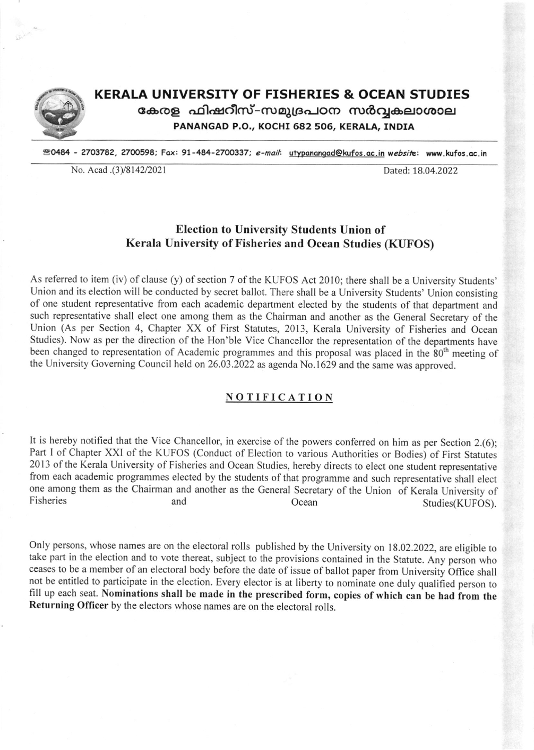

# KERALA UNIVERSITY OF FISHERIES & OCEAN STUDIES കേരള ഫിഷറീസ്-സമുദ്രപഠന സർവ്വകലാശാല

PANANGAD P.O., KOCHI 682 506, KERALA, INDIA

**20484 - 2703782, 2700598; Fax: 91-484-2700337; e-mail: utypanangad@kufos.ac.in website: www.kufos.ac.in** 

No. Acad .(3)/8142/2021 Dated: 18.04.2022

### Election to University Students Union of Kerala University of Fisheries and Ocean Studies (KUFOS)

As referred to item (iv) of clause (y) of section 7 of the KUFOS Act 2010; there shall be a University Students' Union and its election will be conducted by secret ballot. There shall be a University Students' Union consisting of one student representative from each academic department elected by the students of that department and such representative shall elect one among them as the Chairrnan and another as the General Secretary of the Union (As per Section 4, Chapter XX of First Statutes, 2013, Kerala University of Fisheries and Ocean Studies). Now as per the direction of the Hon'ble Vice Chancellor the representation of the departments have been changed to representation of Academic programmes and this proposal was placed in the 80<sup>th</sup> meeting of the University Governing Council held on 26.03.2022 as agenda No.l629 and the same was approved.

#### NOTIFICATION

It is hereby notified that the Vice Chancellor, in exercise of the powers conferred on him as per Section 2.(6); Part I of Chapter XXI of the KUFOS (Conduct of Election to various Authorities or Bodies) of First Statutes 2013 of the Kerala University of Fisheries and Ocean Studies, hereby directs to elect one student representative from each academic programmes elected by the students of that programme and such representative shall elect one among them as the Chairman and another as the General Secretary of the Union of Kerala University of Fisheries and Studies(KUFOS).

Only persons, whose names are on the electoral rolls published by the University on 18.02.2022, are eligible to take part in the election and to vote thereat, subject to the provisions contained in the Statute. Any person who ceases to be a member of an electoral body before the date of issue of ballot paper from University Office shall<br>not be entitled to participate in the election. Every elector is at liberty to nominate one duly qualified pe fill up each seat. Nominations shall be made in the prescribed form, copies of which can be had from the Returning Officer by the electors whose names are on the electoral rolls.